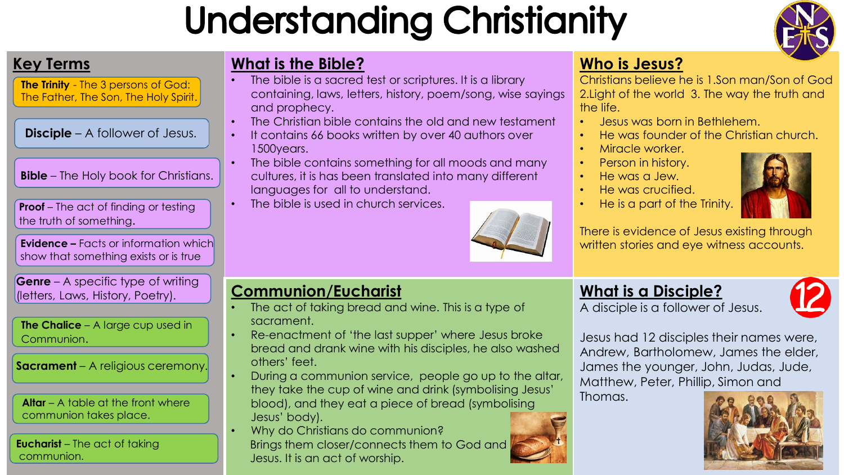# **Understanding Christianity**



**The Trinity** - The 3 persons of God: The Father, The Son, The Holy Spirit.

**Disciple** – A follower of Jesus.

**Bible** – The Holy book for Christians.

**Proof** – The act of finding or testing the truth of something.

**Evidence –** Facts or information which show that something exists or is true

**Genre** – A specific type of writing (letters, Laws, History, Poetry).

**The Chalice** – A large cup used in Communion.

**Sacrament** – A religious ceremony.

**Altar** – A table at the front where communion takes place.

**Eucharist** – The act of taking communion.

### **Key Terms What is the Bible?**

- The bible is a sacred test or scriptures. It is a library containing, laws, letters, history, poem/song, wise sayings and prophecy.
- The Christian bible contains the old and new testament
- It contains 66 books written by over 40 authors over 1500years.
- The bible contains something for all moods and many cultures, it is has been translated into many different languages for all to understand.
- The bible is used in church services.



### **Communion/Eucharist**

- The act of taking bread and wine. This is a type of sacrament.
- Re-enactment of 'the last supper' where Jesus broke bread and drank wine with his disciples, he also washed others' feet.
- During a communion service, people go up to the altar, they take the cup of wine and drink (symbolising Jesus' blood), and they eat a piece of bread (symbolising Jesus' body).
- Why do Christians do communion? Brings them closer/connects them to God and Jesus. It is an act of worship.

### **Who is Jesus?**

Christians believe he is 1.Son man/Son of God 2.Light of the world 3. The way the truth and the life.

- Jesus was born in Bethlehem.
- He was founder of the Christian church.
- Miracle worker.
- Person in history.
- He was a Jew.
- He was crucified.
- He is a part of the Trinity.



There is evidence of Jesus existing through written stories and eye witness accounts.

## **What is a Disciple?**

A disciple is a follower of Jesus.



Jesus had 12 disciples their names were, Andrew, Bartholomew, James the elder, James the younger, John, Judas, Jude, Matthew, Peter, Phillip, Simon and

Thomas.